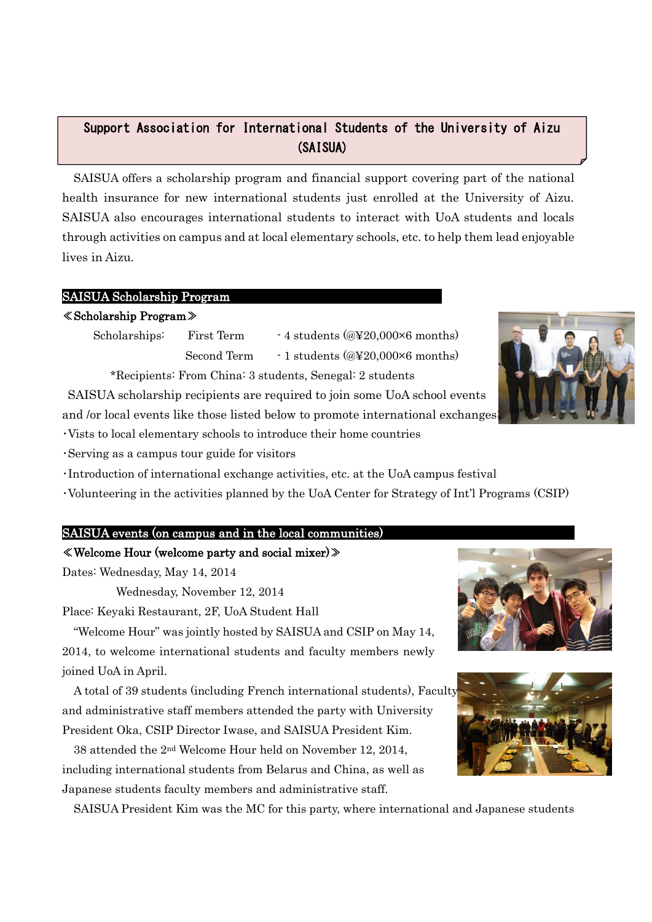# Support Association for International Students of the University of Aizu (SAISUA)

SAISUA offers a scholarship program and financial support covering part of the national health insurance for new international students just enrolled at the University of Aizu. SAISUA also encourages international students to interact with UoA students and locals through activities on campus and at local elementary schools, etc. to help them lead enjoyable lives in Aizu. AY 2014 Activity Report (Draft)

## SAISUA Scholarship Program

## ≪Scholarship Program≫

Scholarships: First Term  $\cdot$  4 students (@¥20,000×6 months) Second Term  $-1$  students (@\\$20,000 $\times$ 6 months)

\*Recipients: From China: 3 students, Senegal: 2 students

SAISUA scholarship recipients are required to join some UoA school events and /or local events like those listed below to promote international exchanges;

・Vists to local elementary schools to introduce their home countries

・Serving as a campus tour guide for visitors

・Introduction of international exchange activities, etc. at the UoA campus festival

・Volunteering in the activities planned by the UoA Center for Strategy of Int'l Programs (CSIP)

# SAISUA events (on campus and in the local communities)

# ≪Welcome Hour (welcome party and social mixer)≫

Dates: Wednesday, May 14, 2014

Wednesday, November 12, 2014

Place: Keyaki Restaurant, 2F, UoA Student Hall

"Welcome Hour" was jointly hosted by SAISUA and CSIP on May 14, 2014, to welcome international students and faculty members newly joined UoA in April.

A total of 39 students (including French international students), Faculty, and administrative staff members attended the party with University President Oka, CSIP Director Iwase, and SAISUA President Kim.

38 attended the 2nd Welcome Hour held on November 12, 2014, including international students from Belarus and China, as well as Japanese students faculty members and administrative staff.

SAISUA President Kim was the MC for this party, where international and Japanese students





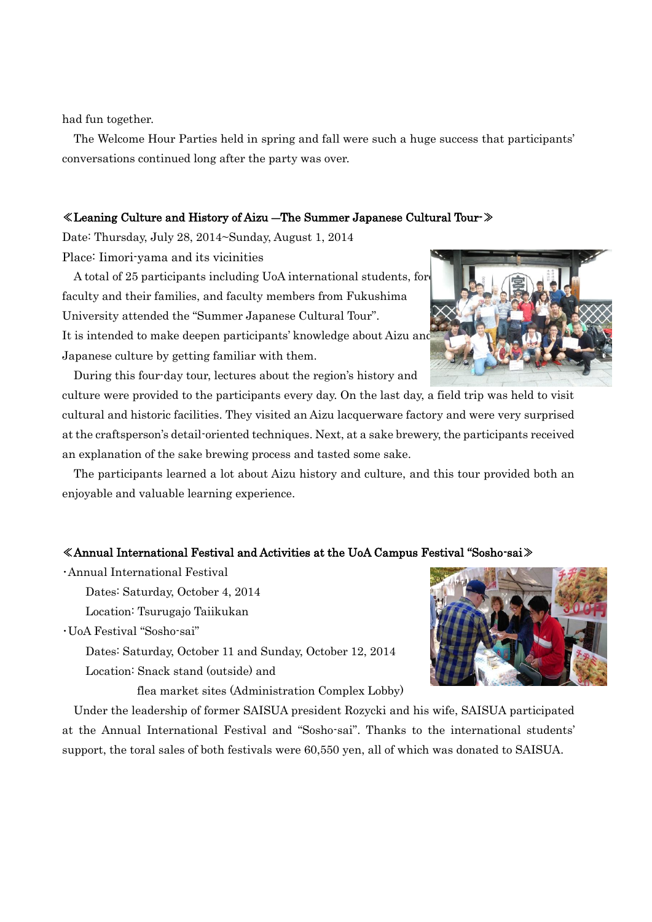had fun together.

The Welcome Hour Parties held in spring and fall were such a huge success that participants' conversations continued long after the party was over.

#### ≪Leaning Culture and History of Aizu ―The Summer Japanese Cultural Tour-≫

Date: Thursday, July 28, 2014~Sunday, August 1, 2014 Place: Iimori-yama and its vicinities

A total of 25 participants including UoA international students, for faculty and their families, and faculty members from Fukushima University attended the "Summer Japanese Cultural Tour". It is intended to make deepen participants' knowledge about Aizu an Japanese culture by getting familiar with them.

 During this four-day tour, lectures about the region's history and culture were provided to the participants every day. On the last day, a field trip was held to visit cultural and historic facilities. They visited an Aizu lacquerware factory and were very surprised at the craftsperson's detail-oriented techniques. Next, at a sake brewery, the participants received an explanation of the sake brewing process and tasted some sake.

 The participants learned a lot about Aizu history and culture, and this tour provided both an enjoyable and valuable learning experience.

#### ≪Annual International Festival and Activities at the UoA Campus Festival "Sosho-sai≫

・Annual International Festival

Dates: Saturday, October 4, 2014

Location: Tsurugajo Taiikukan

・UoA Festival "Sosho-sai"

Dates: Saturday, October 11 and Sunday, October 12, 2014 Location: Snack stand (outside) and

flea market sites (Administration Complex Lobby)

Under the leadership of former SAISUA president Rozycki and his wife, SAISUA participated at the Annual International Festival and "Sosho-sai". Thanks to the international students' support, the toral sales of both festivals were 60,550 yen, all of which was donated to SAISUA.